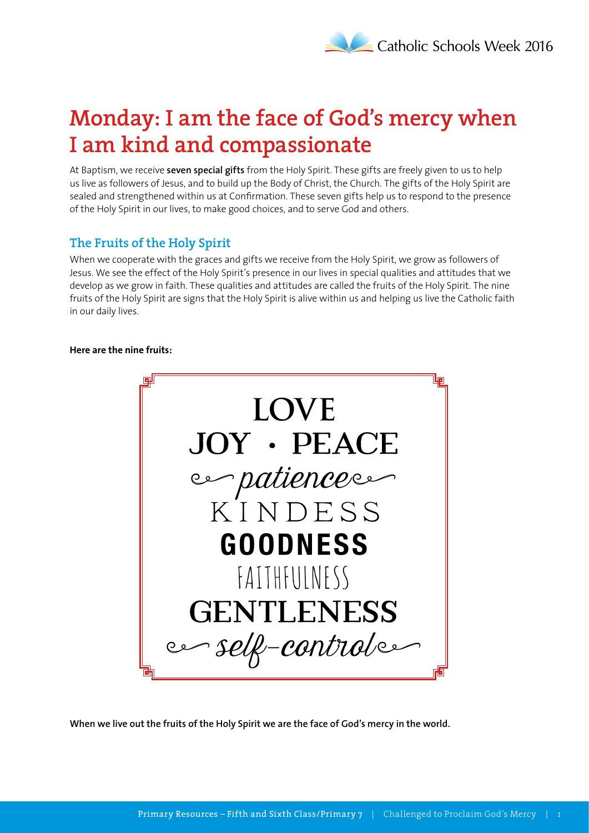# **Monday: I am the face of God's mercy when I am kind and compassionate**

At Baptism, we receive **seven special gifts** from the Holy Spirit. These gifts are freely given to us to help us live as followers of Jesus, and to build up the Body of Christ, the Church. The gifts of the Holy Spirit are sealed and strengthened within us at Confirmation. These seven gifts help us to respond to the presence of the Holy Spirit in our lives, to make good choices, and to serve God and others.

### **The Fruits of the Holy Spirit**

When we cooperate with the graces and gifts we receive from the Holy Spirit, we grow as followers of Jesus. We see the effect of the Holy Spirit's presence in our lives in special qualities and attitudes that we develop as we grow in faith. These qualities and attitudes are called the fruits of the Holy Spirit. The nine fruits of the Holy Spirit are signs that the Holy Spirit is alive within us and helping us live the Catholic faith in our daily lives.

#### **Here are the nine fruits:**



**When we live out the fruits of the Holy Spirit we are the face of God's mercy in the world.**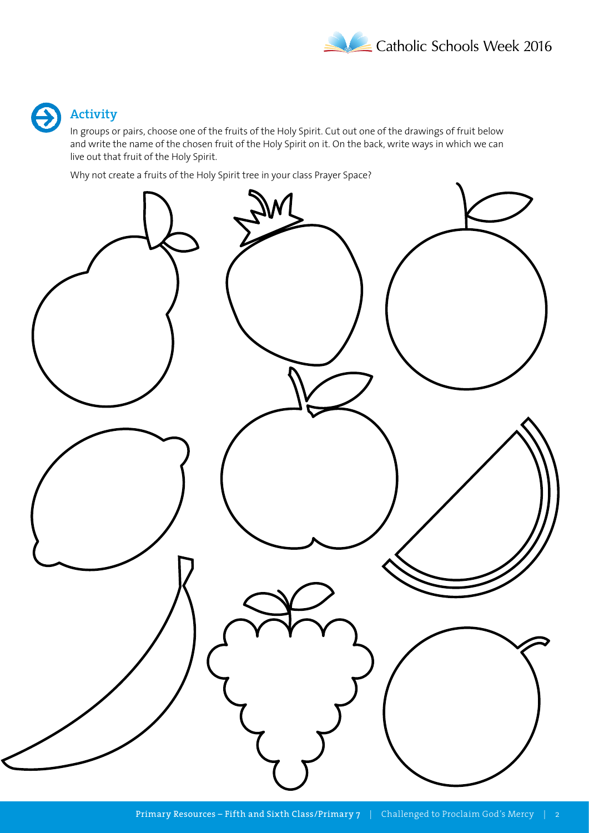

### **Activity**

In groups or pairs, choose one of the fruits of the Holy Spirit. Cut out one of the drawings of fruit below and write the name of the chosen fruit of the Holy Spirit on it. On the back, write ways in which we can live out that fruit of the Holy Spirit.

Why not create a fruits of the Holy Spirit tree in your class Prayer Space?

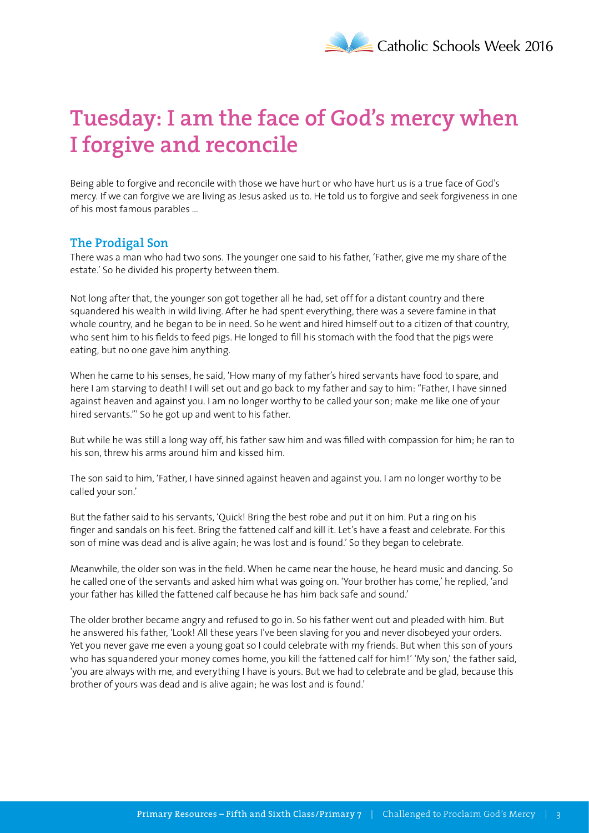# **Tuesday: I am the face of God's mercy when I forgive and reconcile**

Being able to forgive and reconcile with those we have hurt or who have hurt us is a true face of God's mercy. If we can forgive we are living as Jesus asked us to. He told us to forgive and seek forgiveness in one of his most famous parables …

#### **The Prodigal Son**

There was a man who had two sons. The younger one said to his father, 'Father, give me my share of the estate.' So he divided his property between them.

Not long after that, the younger son got together all he had, set off for a distant country and there squandered his wealth in wild living. After he had spent everything, there was a severe famine in that whole country, and he began to be in need. So he went and hired himself out to a citizen of that country, who sent him to his fields to feed pigs. He longed to fill his stomach with the food that the pigs were eating, but no one gave him anything.

When he came to his senses, he said, 'How many of my father's hired servants have food to spare, and here I am starving to death! I will set out and go back to my father and say to him: "Father, I have sinned against heaven and against you. I am no longer worthy to be called your son; make me like one of your hired servants."' So he got up and went to his father.

But while he was still a long way off, his father saw him and was filled with compassion for him; he ran to his son, threw his arms around him and kissed him.

The son said to him, 'Father, I have sinned against heaven and against you. I am no longer worthy to be called your son.'

But the father said to his servants, 'Quick! Bring the best robe and put it on him. Put a ring on his finger and sandals on his feet. Bring the fattened calf and kill it. Let's have a feast and celebrate. For this son of mine was dead and is alive again; he was lost and is found.' So they began to celebrate.

Meanwhile, the older son was in the field. When he came near the house, he heard music and dancing. So he called one of the servants and asked him what was going on. 'Your brother has come,' he replied, 'and your father has killed the fattened calf because he has him back safe and sound.'

The older brother became angry and refused to go in. So his father went out and pleaded with him. But he answered his father, 'Look! All these years I've been slaving for you and never disobeyed your orders. Yet you never gave me even a young goat so I could celebrate with my friends. But when this son of yours who has squandered your money comes home, you kill the fattened calf for him!' 'My son,' the father said, 'you are always with me, and everything I have is yours. But we had to celebrate and be glad, because this brother of yours was dead and is alive again; he was lost and is found.'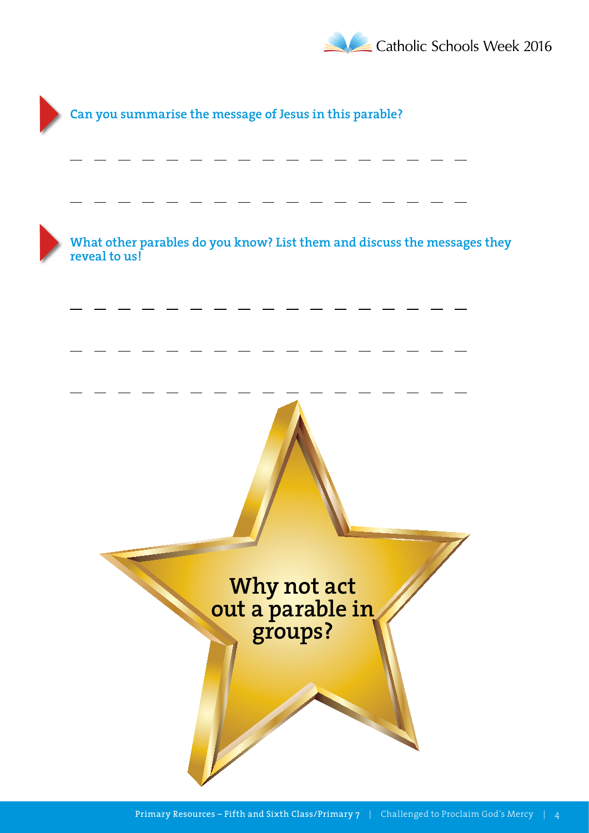

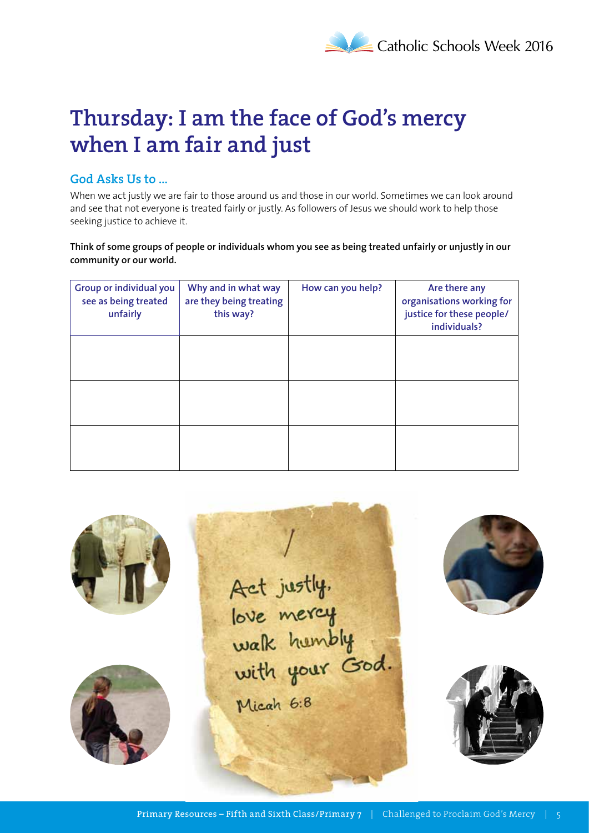

### **Thursday: I am the face of God's mercy when I am fair and just**

### **God Asks Us to …**

When we act justly we are fair to those around us and those in our world. Sometimes we can look around and see that not everyone is treated fairly or justly. As followers of Jesus we should work to help those seeking justice to achieve it.

**Think of some groups of people or individuals whom you see as being treated unfairly or unjustly in our community or our world.**

| Group or individual you<br>see as being treated<br>unfairly | Why and in what way<br>are they being treating<br>this way? | How can you help? | Are there any<br>organisations working for<br>justice for these people/<br>individuals? |
|-------------------------------------------------------------|-------------------------------------------------------------|-------------------|-----------------------------------------------------------------------------------------|
|                                                             |                                                             |                   |                                                                                         |
|                                                             |                                                             |                   |                                                                                         |
|                                                             |                                                             |                   |                                                                                         |





Act justly,<br>love mercy<br>walk humbly<br>with your God. Micah 6:8



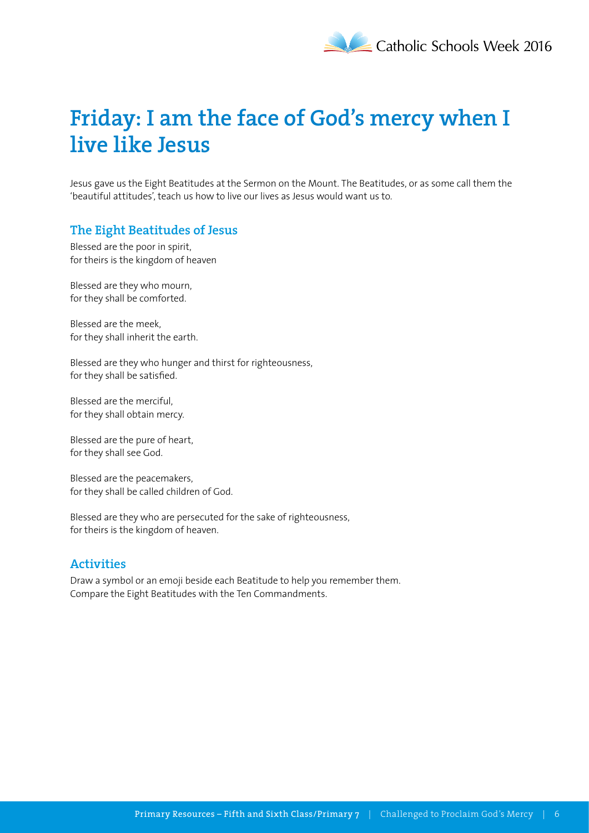# **Friday: I am the face of God's mercy when I live like Jesus**

Jesus gave us the Eight Beatitudes at the Sermon on the Mount. The Beatitudes, or as some call them the 'beautiful attitudes', teach us how to live our lives as Jesus would want us to.

### **The Eight Beatitudes of Jesus**

Blessed are the poor in spirit, for theirs is the kingdom of heaven

Blessed are they who mourn, for they shall be comforted.

Blessed are the meek, for they shall inherit the earth.

Blessed are they who hunger and thirst for righteousness, for they shall be satisfied.

Blessed are the merciful, for they shall obtain mercy.

Blessed are the pure of heart, for they shall see God.

Blessed are the peacemakers, for they shall be called children of God.

Blessed are they who are persecuted for the sake of righteousness, for theirs is the kingdom of heaven.

#### **Activities**

Draw a symbol or an emoji beside each Beatitude to help you remember them. Compare the Eight Beatitudes with the Ten Commandments.